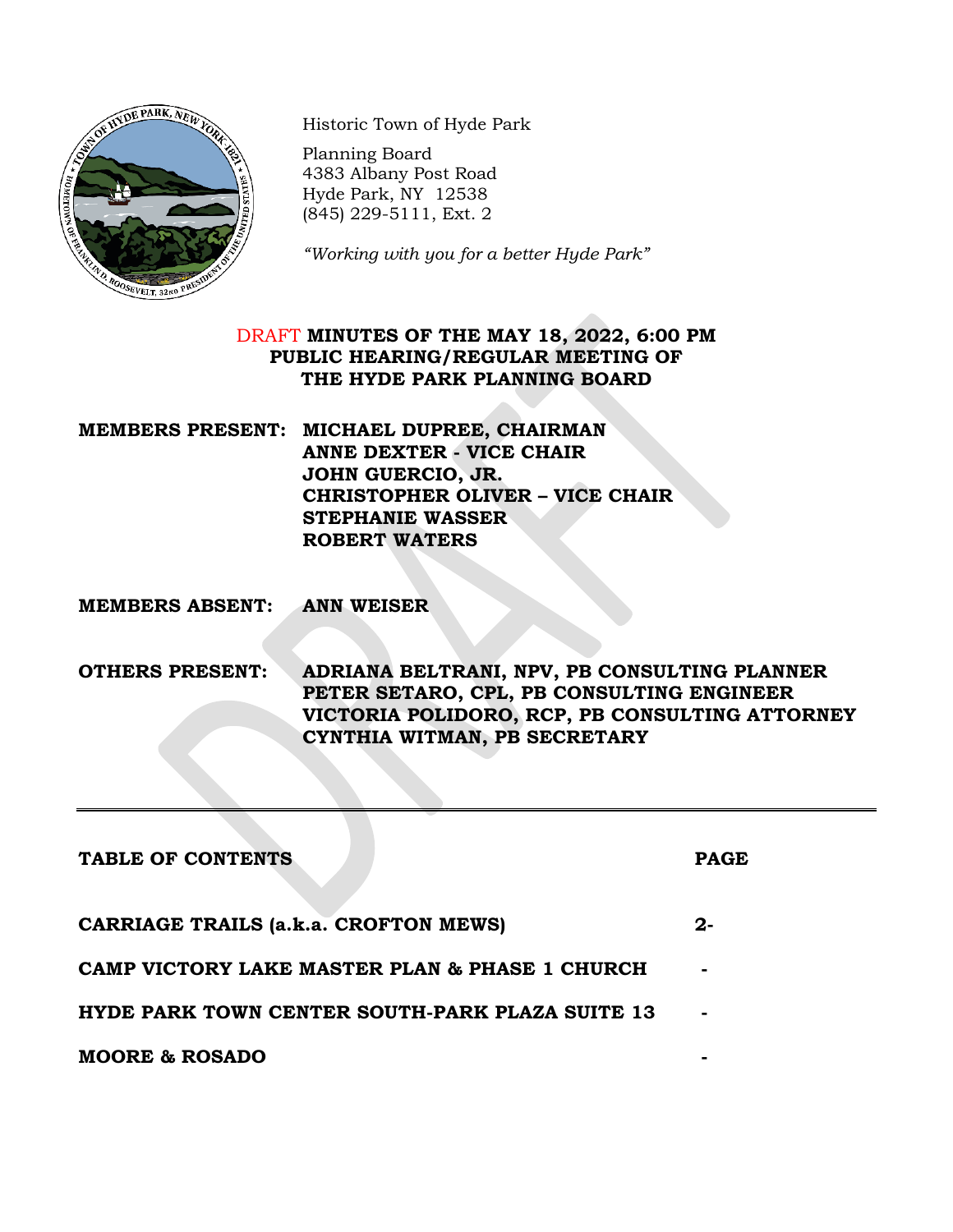

Historic Town of Hyde Park

Planning Board 4383 Albany Post Road Hyde Park, NY 12538 (845) 229-5111, Ext. 2

*"Working with you for a better Hyde Park"*

# DRAFT **MINUTES OF THE MAY 18, 2022, 6:00 PM PUBLIC HEARING/REGULAR MEETING OF THE HYDE PARK PLANNING BOARD**

**MEMBERS PRESENT: MICHAEL DUPREE, CHAIRMAN ANNE DEXTER - VICE CHAIR JOHN GUERCIO, JR. CHRISTOPHER OLIVER – VICE CHAIR STEPHANIE WASSER ROBERT WATERS**

**MEMBERS ABSENT: ANN WEISER**

**OTHERS PRESENT: ADRIANA BELTRANI, NPV, PB CONSULTING PLANNER PETER SETARO, CPL, PB CONSULTING ENGINEER VICTORIA POLIDORO, RCP, PB CONSULTING ATTORNEY CYNTHIA WITMAN, PB SECRETARY**

| TABLE OF CONTENTS                                      | <b>PAGE</b> |
|--------------------------------------------------------|-------------|
| <b>CARRIAGE TRAILS (a.k.a. CROFTON MEWS)</b>           | 2-          |
| CAMP VICTORY LAKE MASTER PLAN & PHASE 1 CHURCH         | ۰           |
| <b>HYDE PARK TOWN CENTER SOUTH-PARK PLAZA SUITE 13</b> |             |
| <b>MOORE &amp; ROSADO</b>                              |             |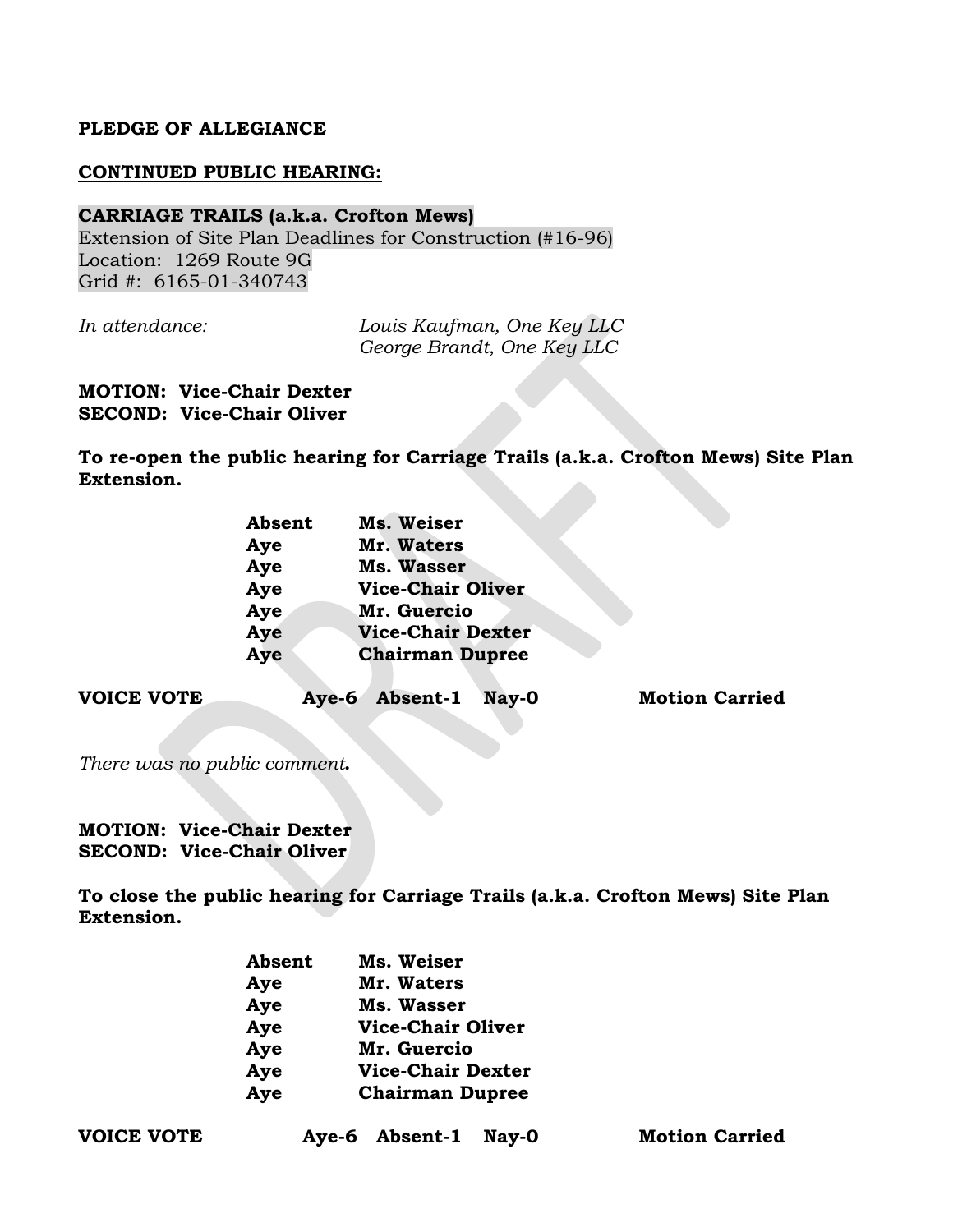#### **PLEDGE OF ALLEGIANCE**

#### **CONTINUED PUBLIC HEARING:**

#### **CARRIAGE TRAILS (a.k.a. Crofton Mews)**

Extension of Site Plan Deadlines for Construction (#16-96) Location: 1269 Route 9G Grid #: 6165-01-340743

*In attendance: Louis Kaufman, One Key LLC George Brandt, One Key LLC*

**MOTION: Vice-Chair Dexter SECOND: Vice-Chair Oliver**

**To re-open the public hearing for Carriage Trails (a.k.a. Crofton Mews) Site Plan Extension.**

| Absent | Ms. Weiser               |
|--------|--------------------------|
| Aye    | Mr. Waters               |
| Aye    | Ms. Wasser               |
| Aye    | <b>Vice-Chair Oliver</b> |
| Aye    | Mr. Guercio              |
| Aye    | <b>Vice-Chair Dexter</b> |
| Aye    | <b>Chairman Dupree</b>   |
|        |                          |

**VOICE VOTE Aye-6 Absent-1 Nay-0 Motion Carried**

*There was no public comment***.**

**MOTION: Vice-Chair Dexter SECOND: Vice-Chair Oliver**

**To close the public hearing for Carriage Trails (a.k.a. Crofton Mews) Site Plan Extension.**

| <b>Absent</b> | Ms. Weiser               |
|---------------|--------------------------|
| Aye           | Mr. Waters               |
| Aye           | <b>Ms. Wasser</b>        |
| Aye           | <b>Vice-Chair Oliver</b> |
| Aye           | Mr. Guercio              |
| Aye           | <b>Vice-Chair Dexter</b> |
| Aye           | <b>Chairman Dupree</b>   |

| <b>VOICE VOTE</b> |  |
|-------------------|--|
|-------------------|--|

Aye-6 Absent-1 Nay-0 **Motion Carried**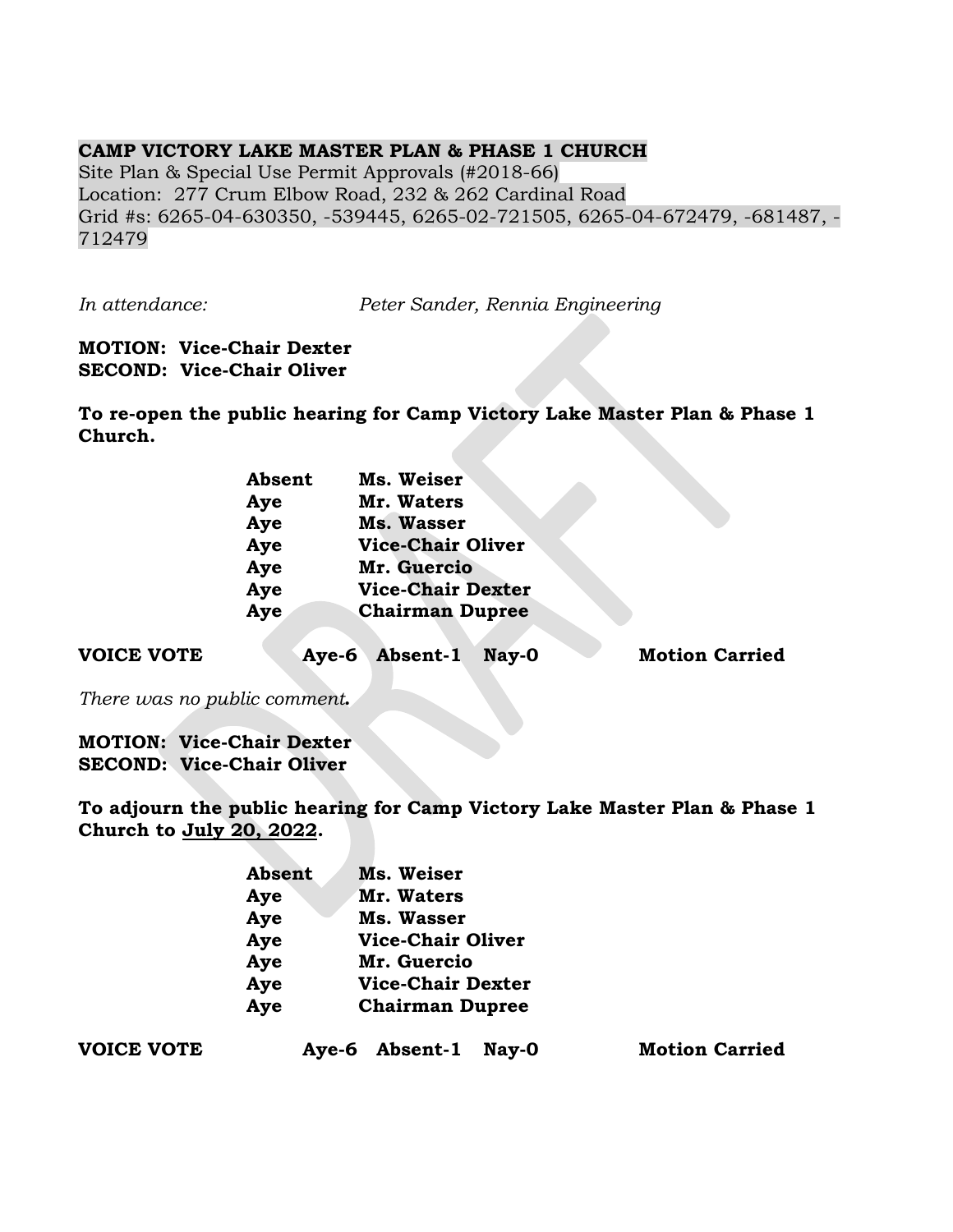## **CAMP VICTORY LAKE MASTER PLAN & PHASE 1 CHURCH**

Site Plan & Special Use Permit Approvals (#2018-66) Location: 277 Crum Elbow Road, 232 & 262 Cardinal Road Grid #s: 6265-04-630350, -539445, 6265-02-721505, 6265-04-672479, -681487, - 712479

*In attendance: Peter Sander, Rennia Engineering*

### **MOTION: Vice-Chair Dexter SECOND: Vice-Chair Oliver**

**To re-open the public hearing for Camp Victory Lake Master Plan & Phase 1 Church.**

| Absent | Ms. Weiser               |  |
|--------|--------------------------|--|
| Aye    | Mr. Waters               |  |
| Aye    | Ms. Wasser               |  |
| Aye    | <b>Vice-Chair Oliver</b> |  |
| Aye    | Mr. Guercio              |  |
| Aye    | <b>Vice-Chair Dexter</b> |  |
| Aye    | <b>Chairman Dupree</b>   |  |

| <b>VOICE VOTE</b> |  | Aye-6 Absent-1 Nay-0 |  |  | <b>Motion Carried</b> |
|-------------------|--|----------------------|--|--|-----------------------|
|-------------------|--|----------------------|--|--|-----------------------|

*There was no public comment***.**

**MOTION: Vice-Chair Dexter SECOND: Vice-Chair Oliver**

**To adjourn the public hearing for Camp Victory Lake Master Plan & Phase 1 Church to July 20, 2022.**

| <b>Absent</b> | Ms. Weiser               |
|---------------|--------------------------|
| Aye           | Mr. Waters               |
| Aye           | Ms. Wasser               |
| Aye           | <b>Vice-Chair Oliver</b> |
| Aye           | Mr. Guercio              |
| Aye           | <b>Vice-Chair Dexter</b> |
| Aye           | <b>Chairman Dupree</b>   |

**VOICE VOTE Aye-6 Absent-1 Nay-0 Motion Carried**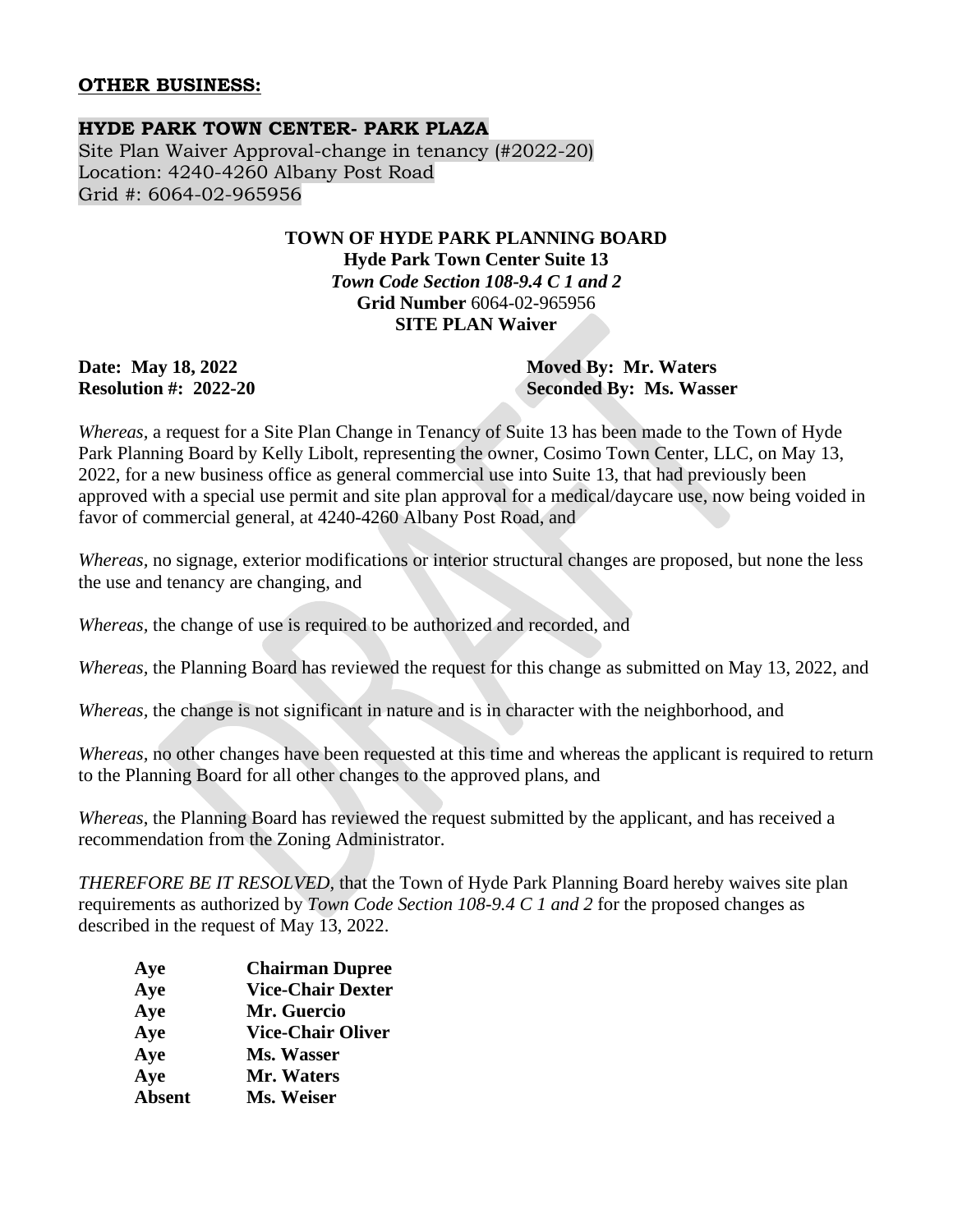### **OTHER BUSINESS:**

# **HYDE PARK TOWN CENTER- PARK PLAZA**

Site Plan Waiver Approval-change in tenancy (#2022-20) Location: 4240-4260 Albany Post Road Grid #: 6064-02-965956

## **TOWN OF HYDE PARK PLANNING BOARD Hyde Park Town Center Suite 13** *Town Code Section 108-9.4 C 1 and 2* **Grid Number** 6064-02-965956 **SITE PLAN Waiver**

**Date: May 18, 2022 Moved By: Mr. Waters Resolution #: 2022-20 Seconded By: Ms. Wasser**

*Whereas,* a request for a Site Plan Change in Tenancy of Suite 13 has been made to the Town of Hyde Park Planning Board by Kelly Libolt, representing the owner, Cosimo Town Center, LLC, on May 13, 2022, for a new business office as general commercial use into Suite 13, that had previously been approved with a special use permit and site plan approval for a medical/daycare use, now being voided in favor of commercial general, at 4240-4260 Albany Post Road, and

*Whereas,* no signage, exterior modifications or interior structural changes are proposed, but none the less the use and tenancy are changing, and

*Whereas,* the change of use is required to be authorized and recorded, and

*Whereas,* the Planning Board has reviewed the request for this change as submitted on May 13, 2022, and

*Whereas,* the change is not significant in nature and is in character with the neighborhood, and

*Whereas,* no other changes have been requested at this time and whereas the applicant is required to return to the Planning Board for all other changes to the approved plans, and

*Whereas*, the Planning Board has reviewed the request submitted by the applicant, and has received a recommendation from the Zoning Administrator.

*THEREFORE BE IT RESOLVED,* that the Town of Hyde Park Planning Board hereby waives site plan requirements as authorized by *Town Code Section 108-9.4 C 1 and 2* for the proposed changes as described in the request of May 13, 2022.

| Aye           | <b>Chairman Dupree</b>   |
|---------------|--------------------------|
| Aye           | <b>Vice-Chair Dexter</b> |
| Aye           | Mr. Guercio              |
| Aye           | <b>Vice-Chair Oliver</b> |
| Aye           | Ms. Wasser               |
| Aye           | Mr. Waters               |
| <b>Absent</b> | Ms. Weiser               |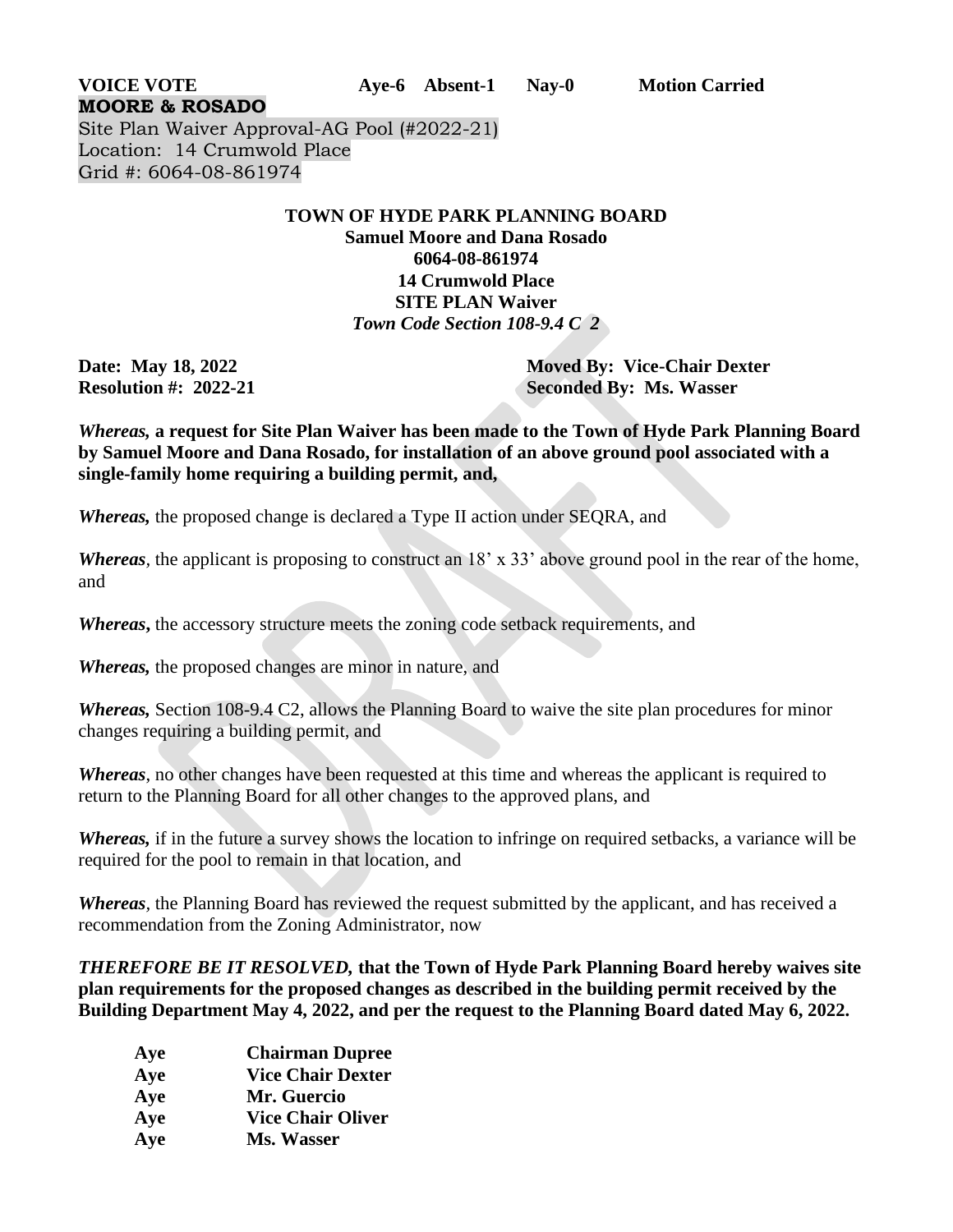**VOICE VOTE Aye-6 Absent-1 Nay-0 Motion Carried**

**MOORE & ROSADO** Site Plan Waiver Approval-AG Pool (#2022-21) Location: 14 Crumwold Place Grid #: 6064-08-861974

## **TOWN OF HYDE PARK PLANNING BOARD Samuel Moore and Dana Rosado 6064-08-861974 14 Crumwold Place SITE PLAN Waiver**  *Town Code Section 108-9.4 C 2*

**Date: May 18, 2022 Moved By: Vice-Chair Dexter Resolution #: 2022-21 Seconded By: Ms. Wasser**

*Whereas,* **a request for Site Plan Waiver has been made to the Town of Hyde Park Planning Board by Samuel Moore and Dana Rosado, for installation of an above ground pool associated with a single-family home requiring a building permit, and,**

*Whereas,* the proposed change is declared a Type II action under SEQRA, and

*Whereas*, the applicant is proposing to construct an 18' x 33' above ground pool in the rear of the home, and

*Whereas***,** the accessory structure meets the zoning code setback requirements, and

*Whereas,* the proposed changes are minor in nature, and

*Whereas,* Section 108-9.4 C2, allows the Planning Board to waive the site plan procedures for minor changes requiring a building permit, and

*Whereas*, no other changes have been requested at this time and whereas the applicant is required to return to the Planning Board for all other changes to the approved plans, and

*Whereas,* if in the future a survey shows the location to infringe on required setbacks, a variance will be required for the pool to remain in that location, and

*Whereas,* the Planning Board has reviewed the request submitted by the applicant, and has received a recommendation from the Zoning Administrator, now

*THEREFORE BE IT RESOLVED,* **that the Town of Hyde Park Planning Board hereby waives site plan requirements for the proposed changes as described in the building permit received by the Building Department May 4, 2022, and per the request to the Planning Board dated May 6, 2022.**

| Aye | <b>Chairman Dupree</b>   |
|-----|--------------------------|
| Aye | <b>Vice Chair Dexter</b> |
| Aye | Mr. Guercio              |
| Aye | <b>Vice Chair Oliver</b> |
| Aye | Ms. Wasser               |